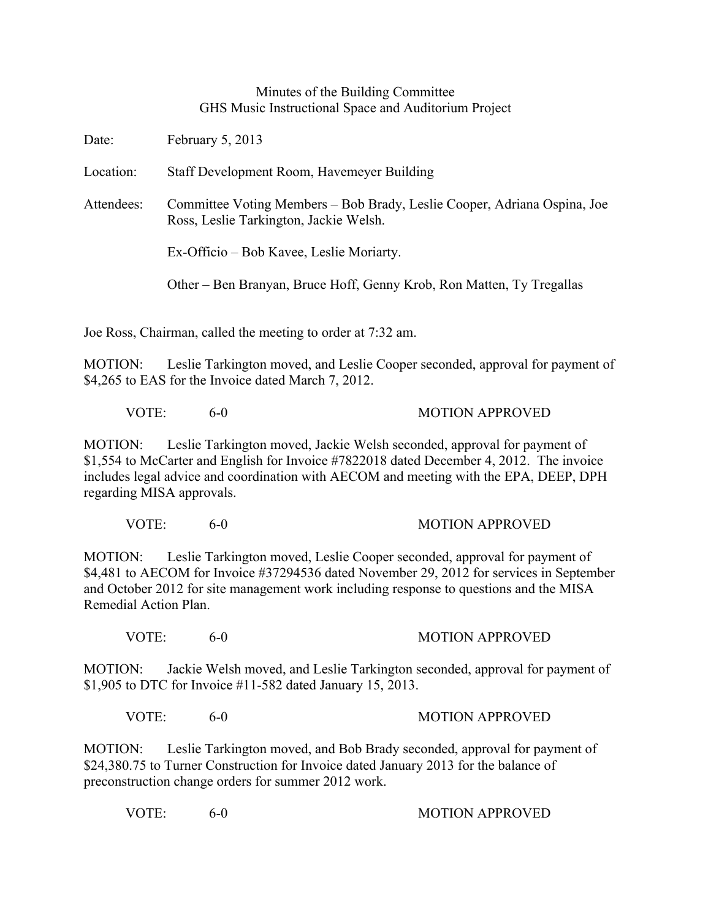## Minutes of the Building Committee GHS Music Instructional Space and Auditorium Project

Date: February 5, 2013

Location: Staff Development Room, Havemeyer Building

Attendees: Committee Voting Members – Bob Brady, Leslie Cooper, Adriana Ospina, Joe Ross, Leslie Tarkington, Jackie Welsh.

Ex-Officio – Bob Kavee, Leslie Moriarty.

Other – Ben Branyan, Bruce Hoff, Genny Krob, Ron Matten, Ty Tregallas

Joe Ross, Chairman, called the meeting to order at 7:32 am.

MOTION: Leslie Tarkington moved, and Leslie Cooper seconded, approval for payment of \$4,265 to EAS for the Invoice dated March 7, 2012.

VOTE: 6-0 MOTION APPROVED

MOTION: Leslie Tarkington moved, Jackie Welsh seconded, approval for payment of \$1,554 to McCarter and English for Invoice #7822018 dated December 4, 2012. The invoice includes legal advice and coordination with AECOM and meeting with the EPA, DEEP, DPH regarding MISA approvals.

VOTE: 6-0 MOTION APPROVED

MOTION: Leslie Tarkington moved, Leslie Cooper seconded, approval for payment of \$4,481 to AECOM for Invoice #37294536 dated November 29, 2012 for services in September and October 2012 for site management work including response to questions and the MISA Remedial Action Plan.

VOTE: 6-0 MOTION APPROVED

MOTION: Jackie Welsh moved, and Leslie Tarkington seconded, approval for payment of \$1,905 to DTC for Invoice #11-582 dated January 15, 2013.

VOTE: 6-0 MOTION APPROVED

MOTION: Leslie Tarkington moved, and Bob Brady seconded, approval for payment of \$24,380.75 to Turner Construction for Invoice dated January 2013 for the balance of preconstruction change orders for summer 2012 work.

VOTE: 6-0 6-0 MOTION APPROVED